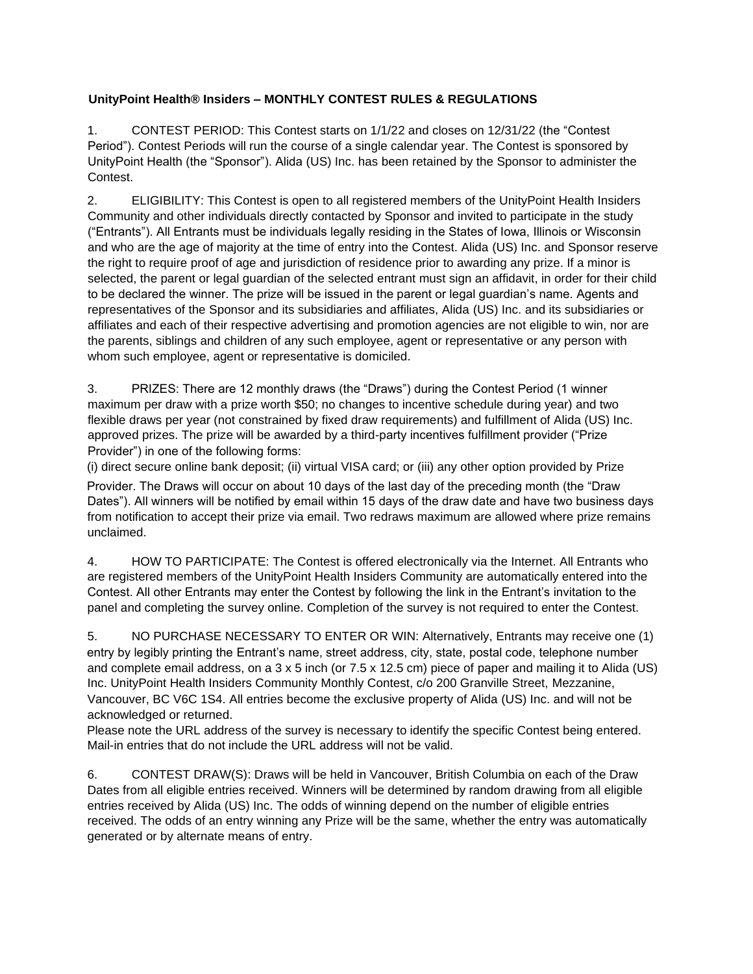## **UnityPoint Health® Insiders – MONTHLY CONTEST RULES & REGULATIONS**

1. CONTEST PERIOD: This Contest starts on 1/1/22 and closes on 12/31/22 (the "Contest Period"). Contest Periods will run the course of a single calendar year. The Contest is sponsored by UnityPoint Health (the "Sponsor"). Alida (US) Inc. has been retained by the Sponsor to administer the Contest.

2. ELIGIBILITY: This Contest is open to all registered members of the UnityPoint Health Insiders Community and other individuals directly contacted by Sponsor and invited to participate in the study ("Entrants"). All Entrants must be individuals legally residing in the States of Iowa, Illinois or Wisconsin and who are the age of majority at the time of entry into the Contest. Alida (US) Inc. and Sponsor reserve the right to require proof of age and jurisdiction of residence prior to awarding any prize. If a minor is selected, the parent or legal guardian of the selected entrant must sign an affidavit, in order for their child to be declared the winner. The prize will be issued in the parent or legal guardian's name. Agents and representatives of the Sponsor and its subsidiaries and affiliates, Alida (US) Inc. and its subsidiaries or affiliates and each of their respective advertising and promotion agencies are not eligible to win, nor are the parents, siblings and children of any such employee, agent or representative or any person with whom such employee, agent or representative is domiciled.

3. PRIZES: There are 12 monthly draws (the "Draws") during the Contest Period (1 winner maximum per draw with a prize worth \$50; no changes to incentive schedule during year) and two flexible draws per year (not constrained by fixed draw requirements) and fulfillment of Alida (US) Inc. approved prizes. The prize will be awarded by a third-party incentives fulfillment provider ("Prize Provider") in one of the following forms:

(i) direct secure online bank deposit; (ii) virtual VISA card; or (iii) any other option provided by Prize

Provider. The Draws will occur on about 10 days of the last day of the preceding month (the "Draw Dates"). All winners will be notified by email within 15 days of the draw date and have two business days from notification to accept their prize via email. Two redraws maximum are allowed where prize remains unclaimed.

4. HOW TO PARTICIPATE: The Contest is offered electronically via the Internet. All Entrants who are registered members of the UnityPoint Health Insiders Community are automatically entered into the Contest. All other Entrants may enter the Contest by following the link in the Entrant's invitation to the panel and completing the survey online. Completion of the survey is not required to enter the Contest.

5. NO PURCHASE NECESSARY TO ENTER OR WIN: Alternatively, Entrants may receive one (1) entry by legibly printing the Entrant's name, street address, city, state, postal code, telephone number and complete email address, on a 3 x 5 inch (or 7.5 x 12.5 cm) piece of paper and mailing it to Alida (US) Inc. UnityPoint Health Insiders Community Monthly Contest, c/o 200 Granville Street, Mezzanine, Vancouver, BC V6C 1S4. All entries become the exclusive property of Alida (US) Inc. and will not be acknowledged or returned.

Please note the URL address of the survey is necessary to identify the specific Contest being entered. Mail-in entries that do not include the URL address will not be valid.

6. CONTEST DRAW(S): Draws will be held in Vancouver, British Columbia on each of the Draw Dates from all eligible entries received. Winners will be determined by random drawing from all eligible entries received by Alida (US) Inc. The odds of winning depend on the number of eligible entries received. The odds of an entry winning any Prize will be the same, whether the entry was automatically generated or by alternate means of entry.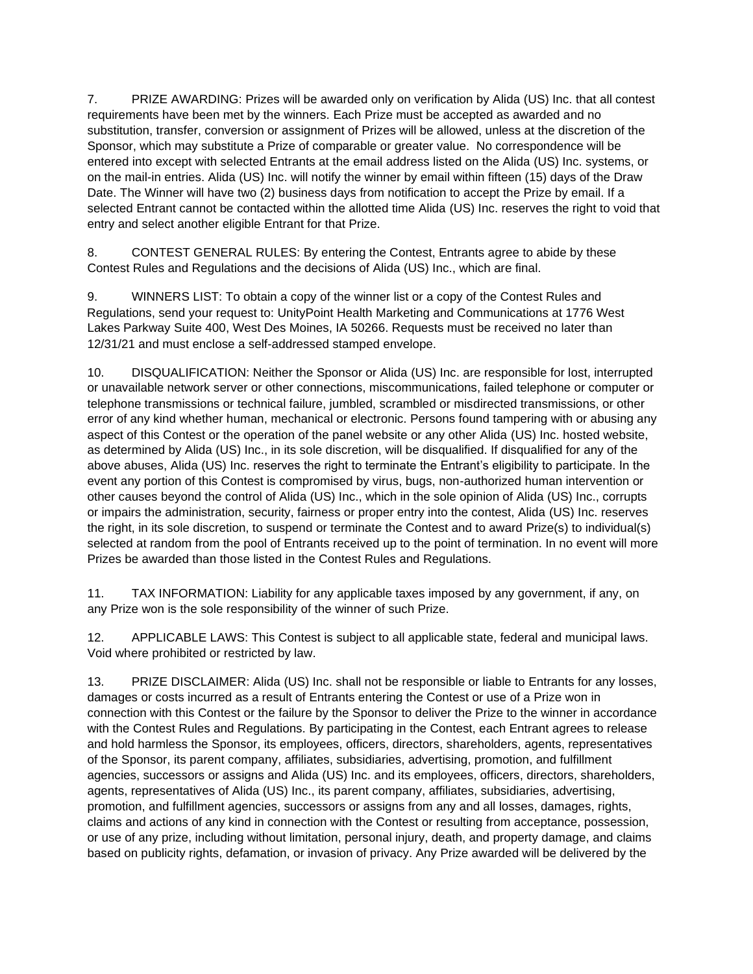7. PRIZE AWARDING: Prizes will be awarded only on verification by Alida (US) Inc. that all contest requirements have been met by the winners. Each Prize must be accepted as awarded and no substitution, transfer, conversion or assignment of Prizes will be allowed, unless at the discretion of the Sponsor, which may substitute a Prize of comparable or greater value. No correspondence will be entered into except with selected Entrants at the email address listed on the Alida (US) Inc. systems, or on the mail-in entries. Alida (US) Inc. will notify the winner by email within fifteen (15) days of the Draw Date. The Winner will have two (2) business days from notification to accept the Prize by email. If a selected Entrant cannot be contacted within the allotted time Alida (US) Inc. reserves the right to void that entry and select another eligible Entrant for that Prize.

8. CONTEST GENERAL RULES: By entering the Contest, Entrants agree to abide by these Contest Rules and Regulations and the decisions of Alida (US) Inc., which are final.

9. WINNERS LIST: To obtain a copy of the winner list or a copy of the Contest Rules and Regulations, send your request to: UnityPoint Health Marketing and Communications at 1776 West Lakes Parkway Suite 400, West Des Moines, IA 50266. Requests must be received no later than 12/31/21 and must enclose a self-addressed stamped envelope.

10. DISQUALIFICATION: Neither the Sponsor or Alida (US) Inc. are responsible for lost, interrupted or unavailable network server or other connections, miscommunications, failed telephone or computer or telephone transmissions or technical failure, jumbled, scrambled or misdirected transmissions, or other error of any kind whether human, mechanical or electronic. Persons found tampering with or abusing any aspect of this Contest or the operation of the panel website or any other Alida (US) Inc. hosted website, as determined by Alida (US) Inc., in its sole discretion, will be disqualified. If disqualified for any of the above abuses, Alida (US) Inc. reserves the right to terminate the Entrant's eligibility to participate. In the event any portion of this Contest is compromised by virus, bugs, non-authorized human intervention or other causes beyond the control of Alida (US) Inc., which in the sole opinion of Alida (US) Inc., corrupts or impairs the administration, security, fairness or proper entry into the contest, Alida (US) Inc. reserves the right, in its sole discretion, to suspend or terminate the Contest and to award Prize(s) to individual(s) selected at random from the pool of Entrants received up to the point of termination. In no event will more Prizes be awarded than those listed in the Contest Rules and Regulations.

11. TAX INFORMATION: Liability for any applicable taxes imposed by any government, if any, on any Prize won is the sole responsibility of the winner of such Prize.

12. APPLICABLE LAWS: This Contest is subject to all applicable state, federal and municipal laws. Void where prohibited or restricted by law.

13. PRIZE DISCLAIMER: Alida (US) Inc. shall not be responsible or liable to Entrants for any losses, damages or costs incurred as a result of Entrants entering the Contest or use of a Prize won in connection with this Contest or the failure by the Sponsor to deliver the Prize to the winner in accordance with the Contest Rules and Regulations. By participating in the Contest, each Entrant agrees to release and hold harmless the Sponsor, its employees, officers, directors, shareholders, agents, representatives of the Sponsor, its parent company, affiliates, subsidiaries, advertising, promotion, and fulfillment agencies, successors or assigns and Alida (US) Inc. and its employees, officers, directors, shareholders, agents, representatives of Alida (US) Inc., its parent company, affiliates, subsidiaries, advertising, promotion, and fulfillment agencies, successors or assigns from any and all losses, damages, rights, claims and actions of any kind in connection with the Contest or resulting from acceptance, possession, or use of any prize, including without limitation, personal injury, death, and property damage, and claims based on publicity rights, defamation, or invasion of privacy. Any Prize awarded will be delivered by the